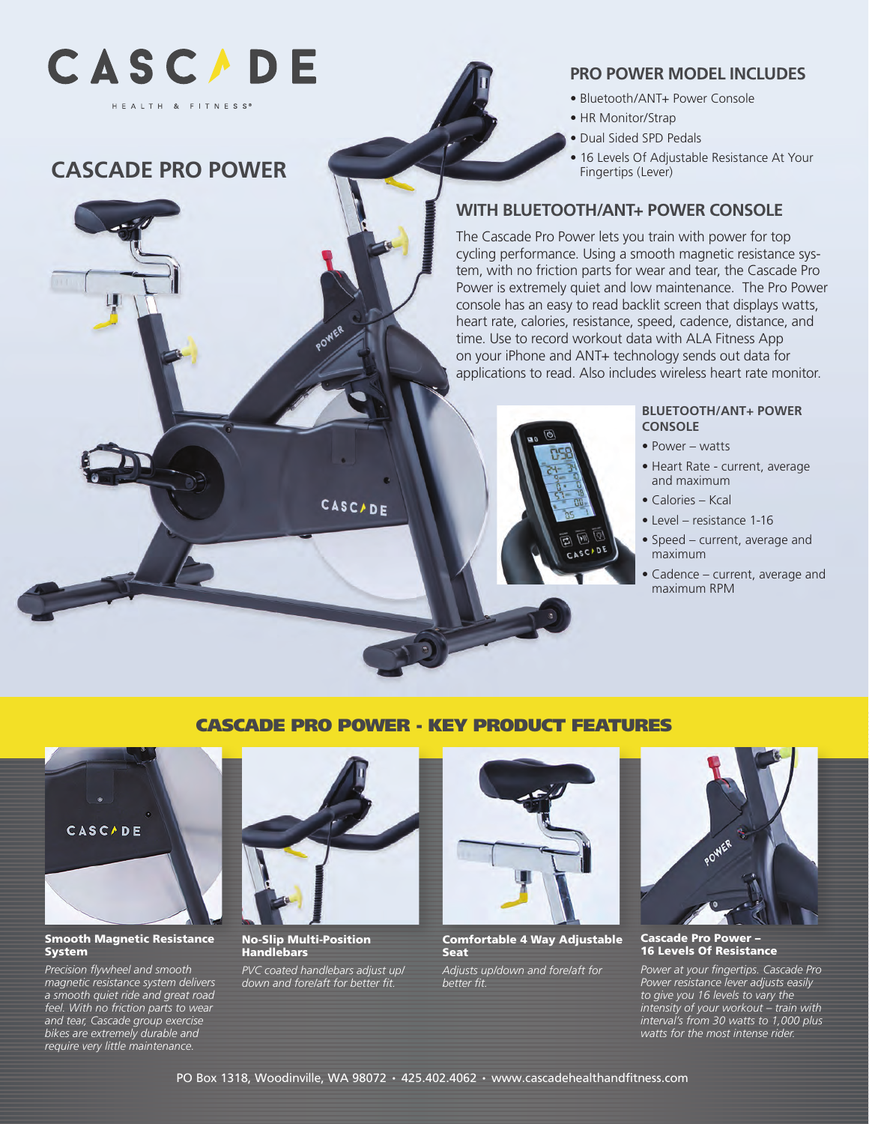

# **CASCADE PRO POWER**

## **PRO POWER MODEL INCLUDES**

- Bluetooth/ANT+ Power Console
- HR Monitor/Strap
- Dual Sided SPD Pedals
- 16 Levels Of Adjustable Resistance At Your Fingertips (Lever)

# **WITH BLUETOOTH/ANT+ POWER CONSOLE**

The Cascade Pro Power lets you train with power for top cycling performance. Using a smooth magnetic resistance system, with no friction parts for wear and tear, the Cascade Pro Power is extremely quiet and low maintenance. The Pro Power console has an easy to read backlit screen that displays watts, heart rate, calories, resistance, speed, cadence, distance, and time. Use to record workout data with ALA Fitness App on your iPhone and ANT+ technology sends out data for applications to read. Also includes wireless heart rate monitor.



#### **BLUETOOTH/ANT+ POWER CONSOLE**

- Power watts
- Heart Rate current, average and maximum
- Calories Kcal
- Level resistance 1-16
- Speed current, average and maximum
- Cadence current, average and maximum RPM

## CASCADE PRO POWER - KEY PRODUCT FEATURES



#### Smooth Magnetic Resistance System

*Precision flywheel and smooth magnetic resistance system delivers a smooth quiet ride and great road feel. With no friction parts to wear and tear, Cascade group exercise bikes are extremely durable and require very little maintenance.*



POWER

CASCADE

No-Slip Multi-Position Handlebars

*PVC coated handlebars adjust up/ down and fore/aft for better fit.*



Comfortable 4 Way Adjustable Seat

*Adjusts up/down and fore/aft for better fit.*



Cascade Pro Power – 16 Levels Of Resistance

*Power at your fingertips. Cascade Pro Power resistance lever adjusts easily to give you 16 levels to vary the intensity of your workout – train with interval's from 30 watts to 1,000 plus watts for the most intense rider.*